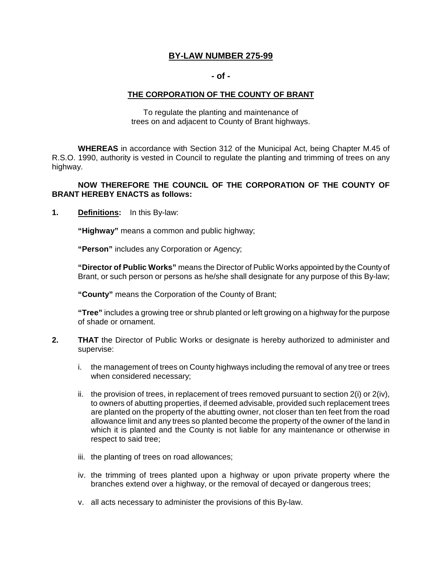# **BY-LAW NUMBER 275-99**

#### **- of**

### **THE CORPORATION OF THE COUNTY OF BRANT**

 To regulate the planting and maintenance of trees on and adjacent to County of Brant highways.

 **WHEREAS** in accordance with Section 312 of the Municipal Act, being Chapter M.45 of R.S.O. 1990, authority is vested in Council to regulate the planting and trimming of trees on any highway.

### **NOW THEREFORE THE COUNCIL OF THE CORPORATION OF THE COUNTY OF BRANT HEREBY ENACTS as follows:**

**1.** Definitions: In this By-law:

**"Highway"** means a common and public highway;

**"Person"** includes any Corporation or Agency;

 **"Director of Public Works"** means the Director of Public Works appointed by the County of Brant, or such person or persons as he/she shall designate for any purpose of this By-law;

**"County"** means the Corporation of the County of Brant;

 **"Tree"** includes a growing tree or shrub planted or left growing on a highway for the purpose of shade or ornament.

- **2.** THAT the Director of Public Works or designate is hereby authorized to administer and supervise:
	- i. the management of trees on County highways including the removal of any tree or trees when considered necessary;
	- ii. the provision of trees, in replacement of trees removed pursuant to section  $2(i)$  or  $2(iv)$ , to owners of abutting properties, if deemed advisable, provided such replacement trees are planted on the property of the abutting owner, not closer than ten feet from the road allowance limit and any trees so planted become the property of the owner of the land in which it is planted and the County is not liable for any maintenance or otherwise in respect to said tree;
	- iii. the planting of trees on road allowances;
	- iv. the trimming of trees planted upon a highway or upon private property where the branches extend over a highway, or the removal of decayed or dangerous trees;
	- v. all acts necessary to administer the provisions of this By-law.